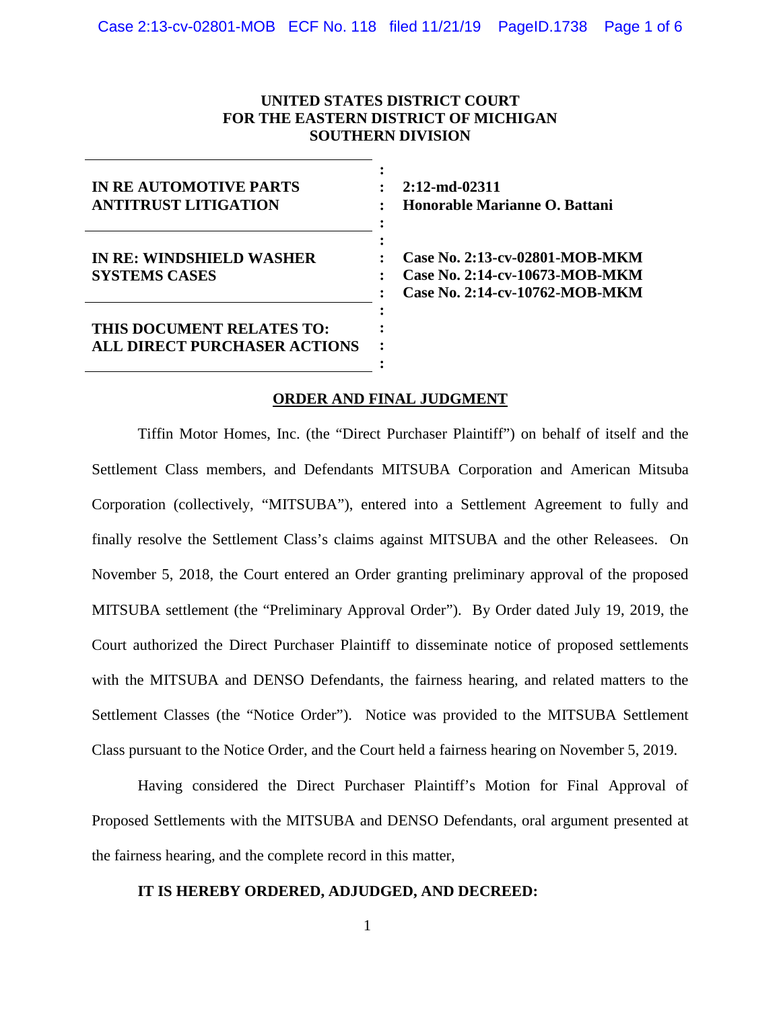# **UNITED STATES DISTRICT COURT FOR THE EASTERN DISTRICT OF MICHIGAN SOUTHERN DIVISION**

| <b>IN REAUTOMOTIVE PARTS</b><br><b>ANTITRUST LITIGATION</b>      |  |
|------------------------------------------------------------------|--|
| <b>IN RE: WINDSHIELD WASHER</b><br><b>SYSTEMS CASES</b>          |  |
| THIS DOCUMENT RELATES TO:<br><b>ALL DIRECT PURCHASER ACTIONS</b> |  |

**2:12-md-02311 Honorable Marianne O. Battani**

**Case No. 2:13-cv-02801-MOB-MKM Case No. 2:14-cv-10673-MOB-MKM Case No. 2:14-cv-10762-MOB-MKM**

## **ORDER AND FINAL JUDGMENT**

Tiffin Motor Homes, Inc. (the "Direct Purchaser Plaintiff") on behalf of itself and the Settlement Class members, and Defendants MITSUBA Corporation and American Mitsuba Corporation (collectively, "MITSUBA"), entered into a Settlement Agreement to fully and finally resolve the Settlement Class's claims against MITSUBA and the other Releasees. On November 5, 2018, the Court entered an Order granting preliminary approval of the proposed MITSUBA settlement (the "Preliminary Approval Order"). By Order dated July 19, 2019, the Court authorized the Direct Purchaser Plaintiff to disseminate notice of proposed settlements with the MITSUBA and DENSO Defendants, the fairness hearing, and related matters to the Settlement Classes (the "Notice Order"). Notice was provided to the MITSUBA Settlement Class pursuant to the Notice Order, and the Court held a fairness hearing on November 5, 2019.

Having considered the Direct Purchaser Plaintiff's Motion for Final Approval of Proposed Settlements with the MITSUBA and DENSO Defendants, oral argument presented at the fairness hearing, and the complete record in this matter,

## **IT IS HEREBY ORDERED, ADJUDGED, AND DECREED:**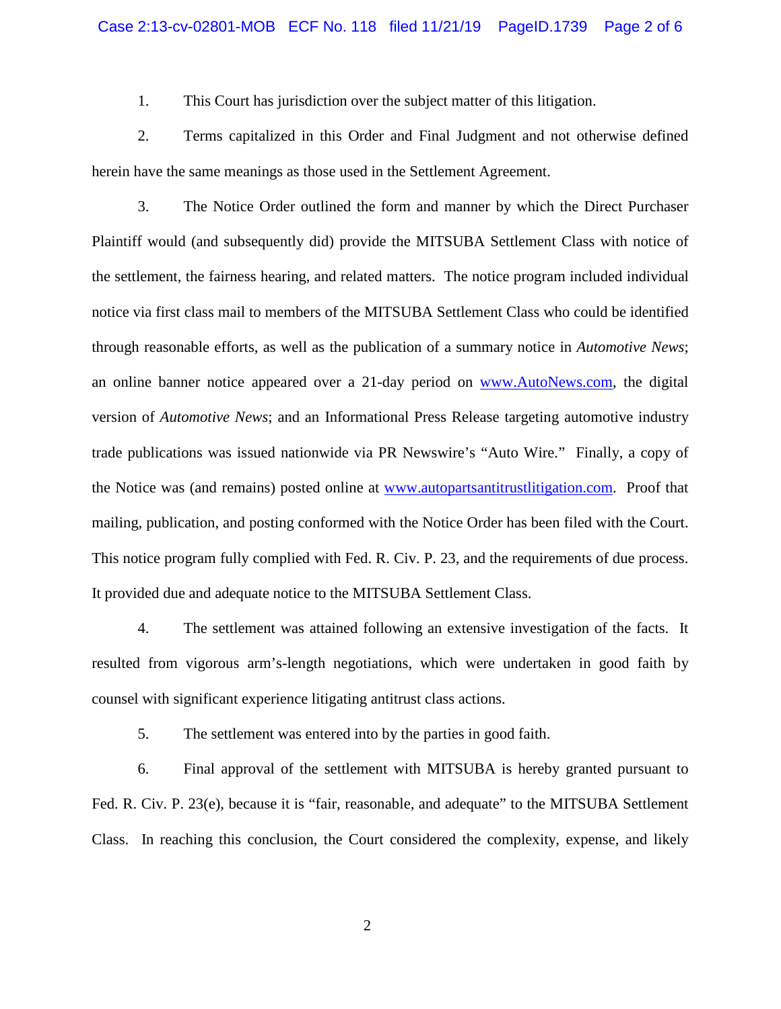#### Case 2:13-cv-02801-MOB ECF No. 118 filed 11/21/19 PageID.1739 Page 2 of 6

1. This Court has jurisdiction over the subject matter of this litigation.

2. Terms capitalized in this Order and Final Judgment and not otherwise defined herein have the same meanings as those used in the Settlement Agreement.

3. The Notice Order outlined the form and manner by which the Direct Purchaser Plaintiff would (and subsequently did) provide the MITSUBA Settlement Class with notice of the settlement, the fairness hearing, and related matters. The notice program included individual notice via first class mail to members of the MITSUBA Settlement Class who could be identified through reasonable efforts, as well as the publication of a summary notice in *Automotive News*; an online banner notice appeared over a 21-day period on [www.AutoNews.com,](http://www.autonews.com/) the digital version of *Automotive News*; and an Informational Press Release targeting automotive industry trade publications was issued nationwide via PR Newswire's "Auto Wire." Finally, a copy of the Notice was (and remains) posted online at [www.autopartsantitrustlitigation.com.](http://www.autopartsantitrustlitigation.com/) Proof that mailing, publication, and posting conformed with the Notice Order has been filed with the Court. This notice program fully complied with Fed. R. Civ. P. 23, and the requirements of due process. It provided due and adequate notice to the MITSUBA Settlement Class.

4. The settlement was attained following an extensive investigation of the facts. It resulted from vigorous arm's-length negotiations, which were undertaken in good faith by counsel with significant experience litigating antitrust class actions.

5. The settlement was entered into by the parties in good faith.

6. Final approval of the settlement with MITSUBA is hereby granted pursuant to Fed. R. Civ. P. 23(e), because it is "fair, reasonable, and adequate" to the MITSUBA Settlement Class. In reaching this conclusion, the Court considered the complexity, expense, and likely

2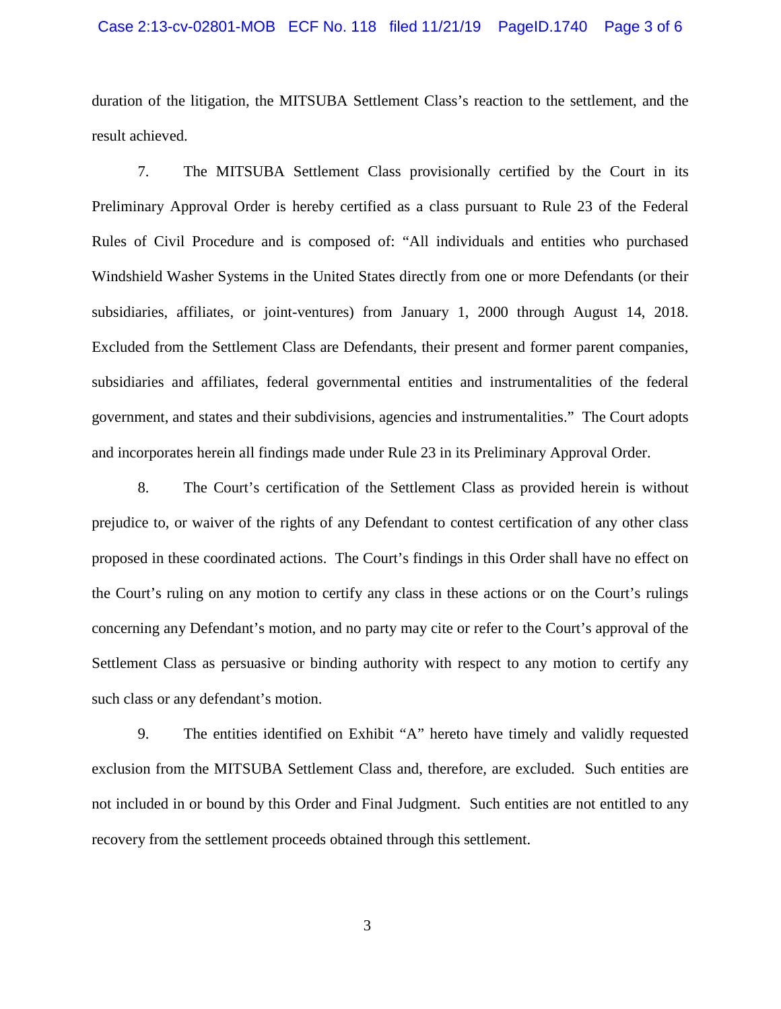#### Case 2:13-cv-02801-MOB ECF No. 118 filed 11/21/19 PageID.1740 Page 3 of 6

duration of the litigation, the MITSUBA Settlement Class's reaction to the settlement, and the result achieved.

7. The MITSUBA Settlement Class provisionally certified by the Court in its Preliminary Approval Order is hereby certified as a class pursuant to Rule 23 of the Federal Rules of Civil Procedure and is composed of: "All individuals and entities who purchased Windshield Washer Systems in the United States directly from one or more Defendants (or their subsidiaries, affiliates, or joint-ventures) from January 1, 2000 through August 14, 2018. Excluded from the Settlement Class are Defendants, their present and former parent companies, subsidiaries and affiliates, federal governmental entities and instrumentalities of the federal government, and states and their subdivisions, agencies and instrumentalities." The Court adopts and incorporates herein all findings made under Rule 23 in its Preliminary Approval Order.

8. The Court's certification of the Settlement Class as provided herein is without prejudice to, or waiver of the rights of any Defendant to contest certification of any other class proposed in these coordinated actions. The Court's findings in this Order shall have no effect on the Court's ruling on any motion to certify any class in these actions or on the Court's rulings concerning any Defendant's motion, and no party may cite or refer to the Court's approval of the Settlement Class as persuasive or binding authority with respect to any motion to certify any such class or any defendant's motion.

9. The entities identified on Exhibit "A" hereto have timely and validly requested exclusion from the MITSUBA Settlement Class and, therefore, are excluded. Such entities are not included in or bound by this Order and Final Judgment. Such entities are not entitled to any recovery from the settlement proceeds obtained through this settlement.

3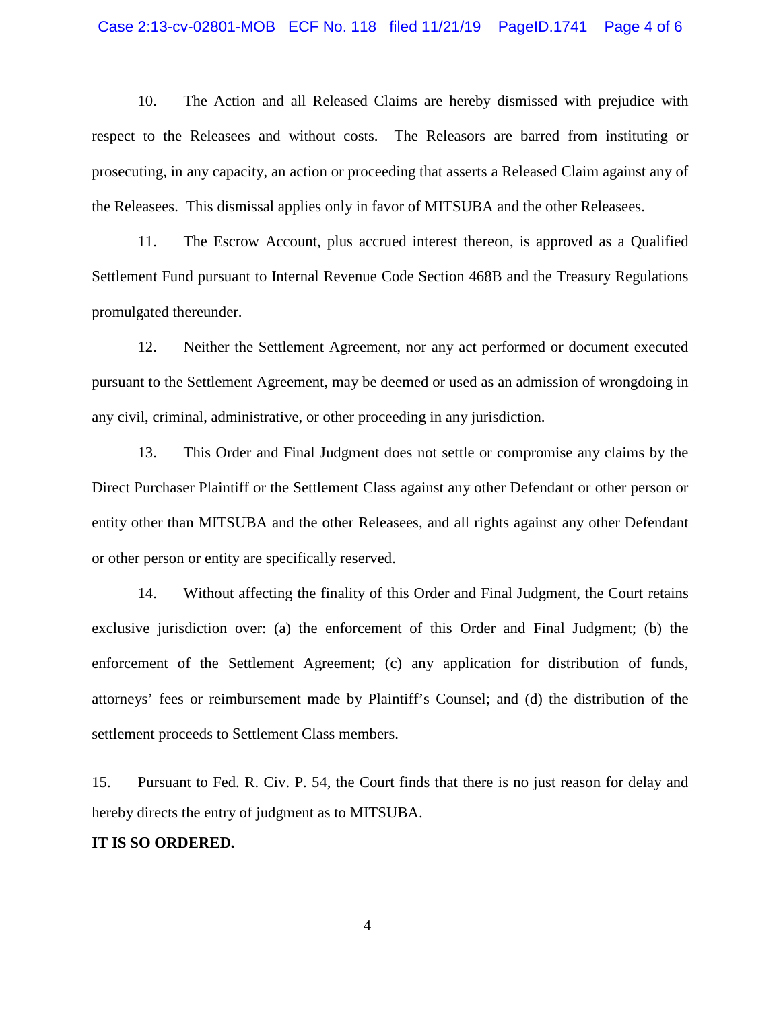#### Case 2:13-cv-02801-MOB ECF No. 118 filed 11/21/19 PageID.1741 Page 4 of 6

10. The Action and all Released Claims are hereby dismissed with prejudice with respect to the Releasees and without costs. The Releasors are barred from instituting or prosecuting, in any capacity, an action or proceeding that asserts a Released Claim against any of the Releasees. This dismissal applies only in favor of MITSUBA and the other Releasees.

11. The Escrow Account, plus accrued interest thereon, is approved as a Qualified Settlement Fund pursuant to Internal Revenue Code Section 468B and the Treasury Regulations promulgated thereunder.

12. Neither the Settlement Agreement, nor any act performed or document executed pursuant to the Settlement Agreement, may be deemed or used as an admission of wrongdoing in any civil, criminal, administrative, or other proceeding in any jurisdiction.

13. This Order and Final Judgment does not settle or compromise any claims by the Direct Purchaser Plaintiff or the Settlement Class against any other Defendant or other person or entity other than MITSUBA and the other Releasees, and all rights against any other Defendant or other person or entity are specifically reserved.

14. Without affecting the finality of this Order and Final Judgment, the Court retains exclusive jurisdiction over: (a) the enforcement of this Order and Final Judgment; (b) the enforcement of the Settlement Agreement; (c) any application for distribution of funds, attorneys' fees or reimbursement made by Plaintiff's Counsel; and (d) the distribution of the settlement proceeds to Settlement Class members.

15. Pursuant to Fed. R. Civ. P. 54, the Court finds that there is no just reason for delay and hereby directs the entry of judgment as to MITSUBA.

### **IT IS SO ORDERED.**

4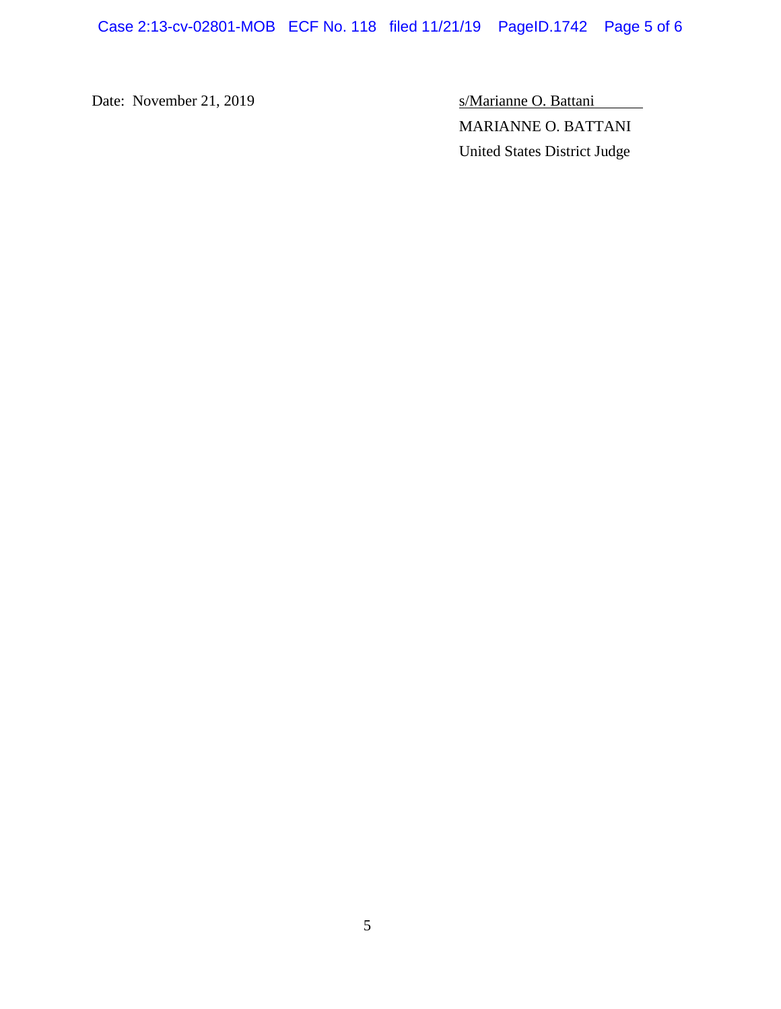Case 2:13-cv-02801-MOB ECF No. 118 filed 11/21/19 PageID.1742 Page 5 of 6

Date: November 21, 2019 S/Marianne O. Battani MARIANNE O. BATTANI United States District Judge